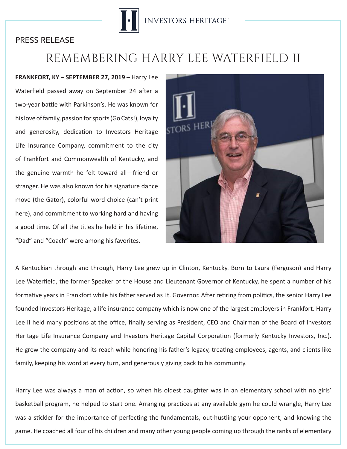

## PRESS RELEASE

## REMEMBERING HARRY LEE WATERFIELD II

**FRANKFORT, KY – SEPTEMBER 27, 2019 –** Harry Lee Waterfield passed away on September 24 after a two-year battle with Parkinson's. He was known for his love of family, passion for sports (Go Cats!), loyalty and generosity, dedication to Investors Heritage Life Insurance Company, commitment to the city of Frankfort and Commonwealth of Kentucky, and the genuine warmth he felt toward all—friend or stranger. He was also known for his signature dance move (the Gator), colorful word choice (can't print here), and commitment to working hard and having a good time. Of all the titles he held in his lifetime, "Dad" and "Coach" were among his favorites.



A Kentuckian through and through, Harry Lee grew up in Clinton, Kentucky. Born to Laura (Ferguson) and Harry Lee Waterfield, the former Speaker of the House and Lieutenant Governor of Kentucky, he spent a number of his formative years in Frankfort while his father served as Lt. Governor. After retiring from politics, the senior Harry Lee founded Investors Heritage, a life insurance company which is now one of the largest employers in Frankfort. Harry Lee II held many positions at the office, finally serving as President, CEO and Chairman of the Board of Investors Heritage Life Insurance Company and Investors Heritage Capital Corporation (formerly Kentucky Investors, Inc.). He grew the company and its reach while honoring his father's legacy, treating employees, agents, and clients like family, keeping his word at every turn, and generously giving back to his community.

Harry Lee was always a man of action, so when his oldest daughter was in an elementary school with no girls' basketball program, he helped to start one. Arranging practices at any available gym he could wrangle, Harry Lee was a stickler for the importance of perfecting the fundamentals, out-hustling your opponent, and knowing the game. He coached all four of his children and many other young people coming up through the ranks of elementary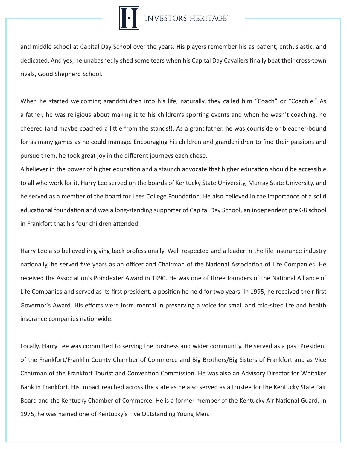## **INVESTORS HERITAGE**

and middle school at Capital Day School over the years. His players remember his as patient, enthusiastic, and dedicated. And yes, he unabashedly shed some tears when his Capital Day Cavaliers finally beat their cross-town rivals, Good Shepherd School.

When he started welcoming grandchildren into his life, naturally, they called him "Coach" or "Coachie." As a father, he was religious about making it to his children's sporting events and when he wasn't coaching, he cheered (and maybe coached a little from the stands!). As a grandfather, he was courtside or bleacher-bound for as many games as he could manage. Encouraging his children and grandchildren to find their passions and pursue them, he took great joy in the different journeys each chose.

A believer in the power of higher education and a staunch advocate that higher education should be accessible to all who work for it, Harry Lee served on the boards of Kentucky State University, Murray State University, and he served as a member of the board for Lees College Foundation. He also believed in the importance of a solid educational foundation and was a long-standing supporter of Capital Day School, an independent preK-8 school in Frankfort that his four children attended.

Harry Lee also believed in giving back professionally. Well respected and a leader in the life insurance industry nationally, he served five years as an officer and Chairman of the National Association of Life Companies. He received the Association's Poindexter Award in 1990. He was one of three founders of the National Alliance of Life Companies and served as its first president, a position he held for two years. In 1995, he received their first Governor's Award. His efforts were instrumental in preserving a voice for small and mid-sized life and health insurance companies nationwide.

Locally, Harry Lee was committed to serving the business and wider community. He served as a past President of the Frankfort/Franklin County Chamber of Commerce and Big Brothers/Big Sisters of Frankfort and as Vice Chairman of the Frankfort Tourist and Convention Commission. He was also an Advisory Director for Whitaker Bank in Frankfort. His impact reached across the state as he also served as a trustee for the Kentucky State Fair Board and the Kentucky Chamber of Commerce. He is a former member of the Kentucky Air National Guard. In 1975, he was named one of Kentucky's Five Outstanding Young Men.